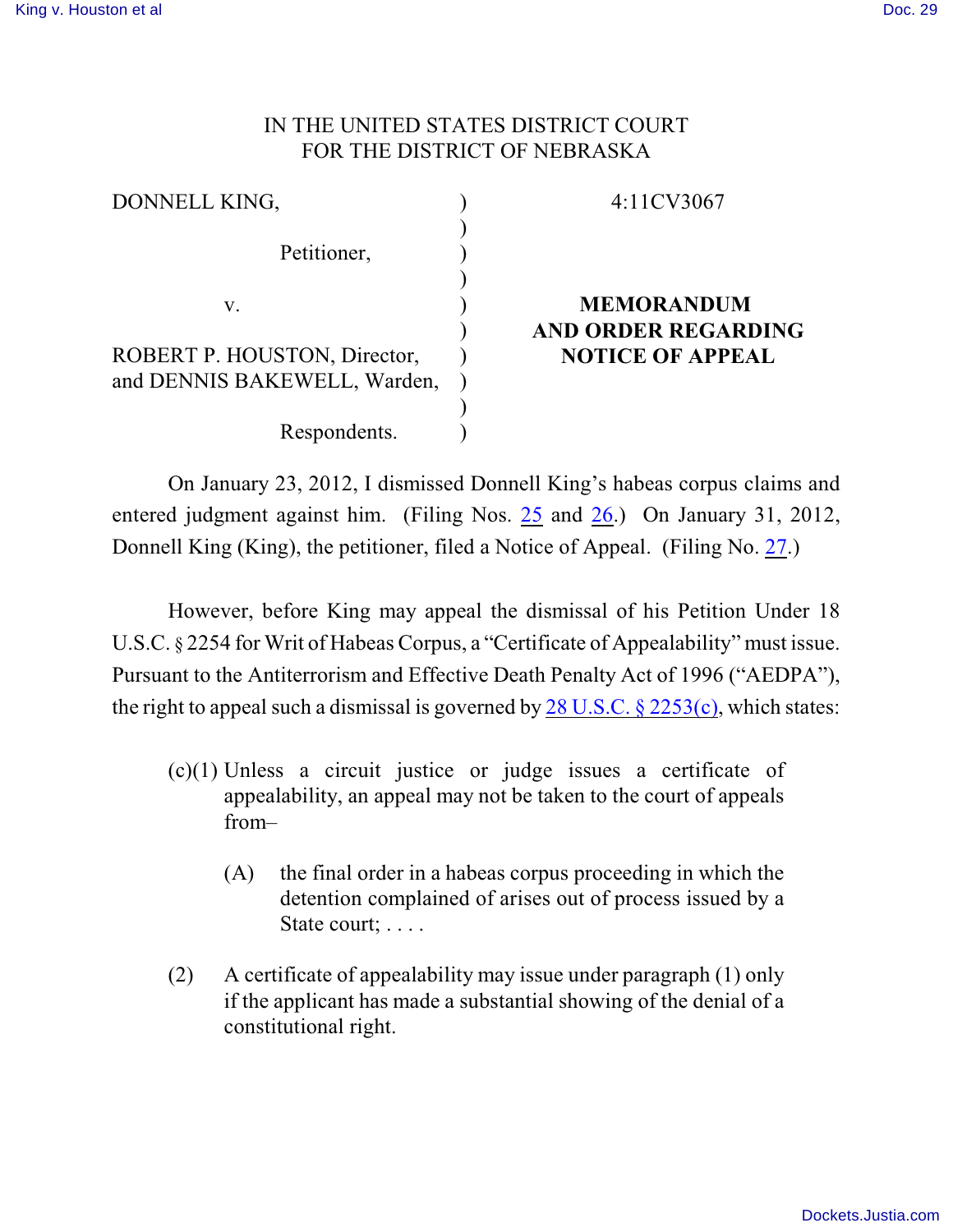## IN THE UNITED STATES DISTRICT COURT FOR THE DISTRICT OF NEBRASKA

| 4:11CV3067                 |
|----------------------------|
|                            |
|                            |
| <b>MEMORANDUM</b>          |
| <b>AND ORDER REGARDING</b> |
| <b>NOTICE OF APPEAL</b>    |
|                            |
|                            |
|                            |
|                            |

On January 23, 2012, I dismissed Donnell King's habeas corpus claims and entered judgment against him. (Filing Nos. [25](https://ecf.ned.uscourts.gov/doc1/11312445805) and [26](https://ecf.ned.uscourts.gov/doc1/11312445808).) On January 31, 2012, Donnell King (King), the petitioner, filed a Notice of Appeal. (Filing No. [27](http://ecf.ned.uscourts.gov/doc1/11302451490).)

However, before King may appeal the dismissal of his Petition Under 18 U.S.C. § 2254 for Writ of Habeas Corpus, a "Certificate of Appealability" must issue. Pursuant to the Antiterrorism and Effective Death Penalty Act of 1996 ("AEDPA"), the right to appeal such a dismissal is governed by  $28 \text{ U.S.C.}$  §  $2253(c)$ , which states:

- (c)(1) Unless a circuit justice or judge issues a certificate of appealability, an appeal may not be taken to the court of appeals from–
	- (A) the final order in a habeas corpus proceeding in which the detention complained of arises out of process issued by a State court; ....
- (2) A certificate of appealability may issue under paragraph (1) only if the applicant has made a substantial showing of the denial of a constitutional right.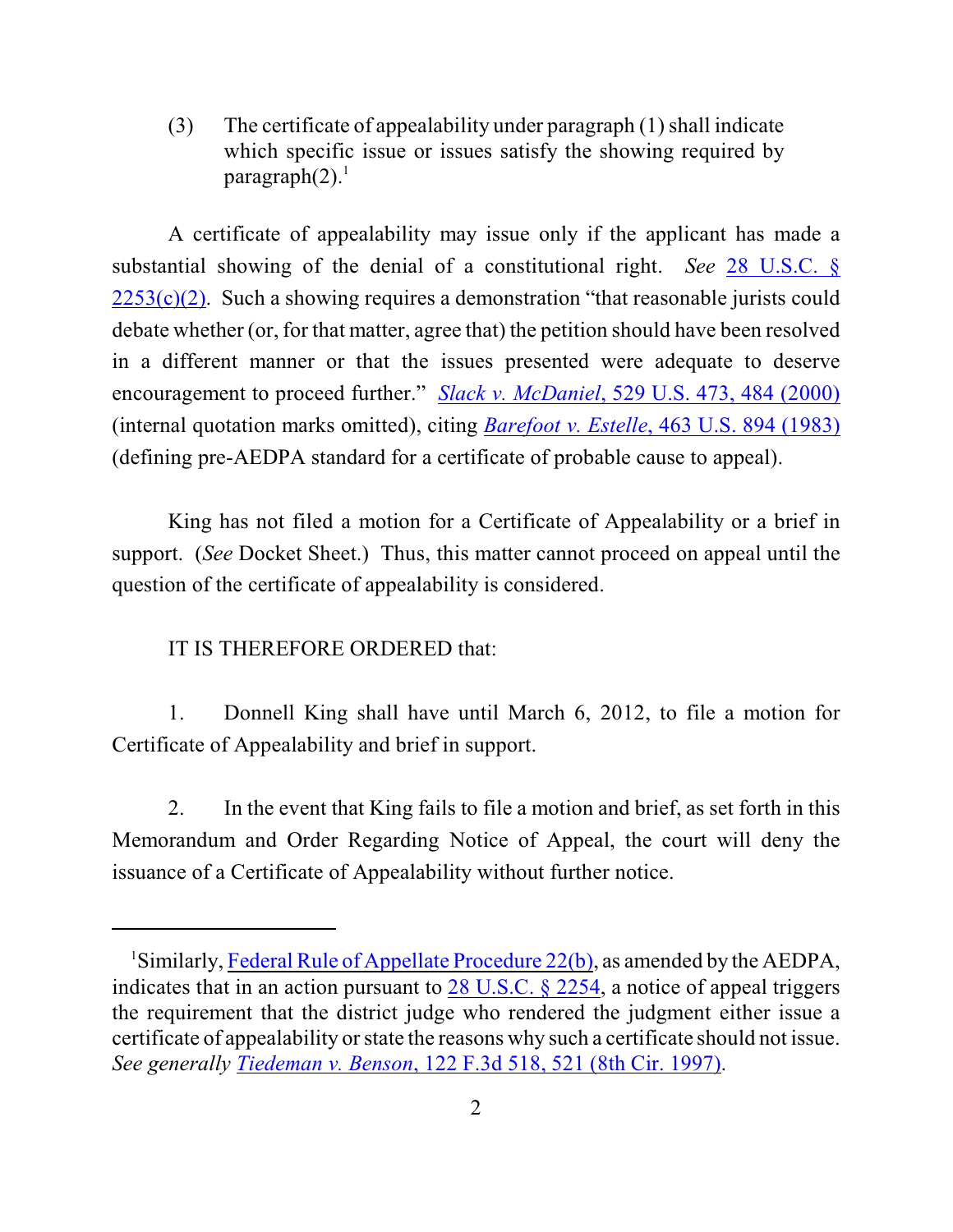(3) The certificate of appealability under paragraph (1) shall indicate which specific issue or issues satisfy the showing required by paragraph $(2)$ .<sup>1</sup>

A certificate of appealability may issue only if the applicant has made a substantial showing of the denial of a constitutional right. *See* [28 U.S.C. §](http://web2.westlaw.com/find/default.wl?fn=_top&rs=WLW8.10&rp=%2ffind%2fdefault.wl&mt=Westlaw&vr=2.0&sv=Split&cite=28+usc+2253)  $2253(c)(2)$ . Such a showing requires a demonstration "that reasonable jurists could debate whether (or, for that matter, agree that) the petition should have been resolved in a different manner or that the issues presented were adequate to deserve encouragement to proceed further." *[Slack v. McDaniel](http://web2.westlaw.com/find/default.wl?fn=_top&rs=WLW8.10&rp=%2ffind%2fdefault.wl&mt=Westlaw&vr=2.0&sv=Split&cite=529+us+484)*, 529 U.S. 473, 484 (2000) (internal quotation marks omitted), citing *Barefoot v. Estelle*[, 463 U.S. 894 \(1983\)](http://web2.westlaw.com/find/default.wl?fn=_top&rs=WLW8.10&rp=%2ffind%2fdefault.wl&mt=Westlaw&vr=2.0&sv=Split&cite=463+us+894) (defining pre-AEDPA standard for a certificate of probable cause to appeal).

King has not filed a motion for a Certificate of Appealability or a brief in support. (*See* Docket Sheet.) Thus, this matter cannot proceed on appeal until the question of the certificate of appealability is considered.

IT IS THEREFORE ORDERED that:

1. Donnell King shall have until March 6, 2012, to file a motion for Certificate of Appealability and brief in support.

2. In the event that King fails to file a motion and brief, as set forth in this Memorandum and Order Regarding Notice of Appeal, the court will deny the issuance of a Certificate of Appealability without further notice.

<sup>&</sup>lt;sup>1</sup>Similarly, [Federal Rule of Appellate Procedure 22\(b\)](http://web2.westlaw.com/find/default.wl?fn=_top&rs=WLW8.10&rp=%2ffind%2fdefault.wl&mt=Westlaw&vr=2.0&sv=Split&cite=frap+22), as amended by the AEDPA, indicates that in an action pursuant to [28 U.S.C. § 2254](http://web2.westlaw.com/find/default.wl?fn=_top&rs=WLW8.10&rp=%2ffind%2fdefault.wl&mt=Westlaw&vr=2.0&sv=Split&cite=28+usc+2254), a notice of appeal triggers the requirement that the district judge who rendered the judgment either issue a certificate of appealability or state the reasons why such a certificate should not issue. *See generally Tiedeman v. Benson*[, 122 F.3d 518, 521 \(8th Cir. 1997\)](http://web2.westlaw.com/find/default.wl?fn=_top&rs=WLW8.10&rp=%2ffind%2fdefault.wl&mt=Westlaw&vr=2.0&sv=Split&cite=122+f+3d+521).